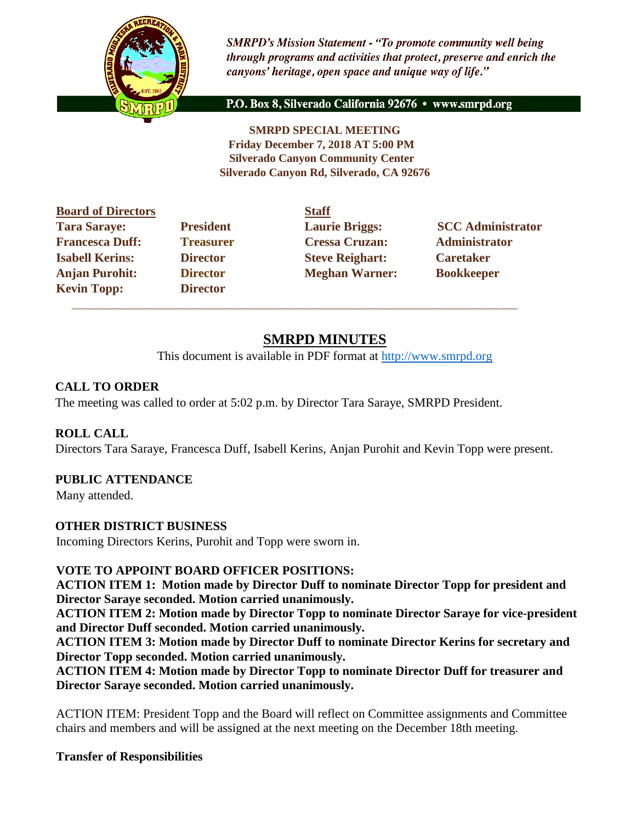

**SMRPD's Mission Statement - "To promote community well being** through programs and activities that protect, preserve and enrich the canyons' heritage, open space and unique way of life."

P.O. Box 8, Silverado California 92676 · www.smrpd.org

**SMRPD SPECIAL MEETING Friday December 7, 2018 AT 5:00 PM Silverado Canyon Community Center Silverado Canyon Rd, Silverado, CA 92676** 

| <b>Board of Directors</b> |                  | <b>Staff</b> |
|---------------------------|------------------|--------------|
| <b>Tara Saraye:</b>       | <b>President</b> | Laur         |
| <b>Francesca Duff:</b>    | <b>Treasurer</b> | <b>Cres</b>  |
| <b>Isabell Kerins:</b>    | <b>Director</b>  | <b>Steve</b> |
| <b>Anjan Purohit:</b>     | <b>Director</b>  | Megl         |
| <b>Kevin Topp:</b>        | <b>Director</b>  |              |

**Freasurer Cressa Cruzan:** Administrator **Islamin Caretaker Steve Reighart: Caretaker** *Caretaker* **Anglering Purohim Purohim Purohim Purohim Purohim Purohim Purohim Purohim Purohim Purohim Purohim Purohim Purohim Purohim Purohim Purohim Purohim Purohim Purohim Purohim Purohim Purohim Purohim Purohim Purohim Purohim Pur** 

**Tarabullehember 19. Interversident Laurie Briggs:** SCC Administrator

# **SMRPD MINUTES**

This document is available in PDF format at [http://www.smrpd.org](http://www.smrpd.org/)

## **CALL TO ORDER**

The meeting was called to order at 5:02 p.m. by Director Tara Saraye, SMRPD President.

 $\overline{\phantom{a}}$  ,  $\overline{\phantom{a}}$  ,  $\overline{\phantom{a}}$  ,  $\overline{\phantom{a}}$  ,  $\overline{\phantom{a}}$  ,  $\overline{\phantom{a}}$  ,  $\overline{\phantom{a}}$  ,  $\overline{\phantom{a}}$  ,  $\overline{\phantom{a}}$  ,  $\overline{\phantom{a}}$  ,  $\overline{\phantom{a}}$  ,  $\overline{\phantom{a}}$  ,  $\overline{\phantom{a}}$  ,  $\overline{\phantom{a}}$  ,  $\overline{\phantom{a}}$  ,  $\overline{\phantom{a}}$ 

## **ROLL CALL**

Directors Tara Saraye, Francesca Duff, Isabell Kerins, Anjan Purohit and Kevin Topp were present.

## **PUBLIC ATTENDANCE**

Many attended.

## **OTHER DISTRICT BUSINESS**

Incoming Directors Kerins, Purohit and Topp were sworn in.

## **VOTE TO APPOINT BOARD OFFICER POSITIONS:**

**ACTION ITEM 1: Motion made by Director Duff to nominate Director Topp for president and Director Saraye seconded. Motion carried unanimously.** 

**ACTION ITEM 2: Motion made by Director Topp to nominate Director Saraye for vice-president and Director Duff seconded. Motion carried unanimously.** 

**ACTION ITEM 3: Motion made by Director Duff to nominate Director Kerins for secretary and Director Topp seconded. Motion carried unanimously.** 

**ACTION ITEM 4: Motion made by Director Topp to nominate Director Duff for treasurer and Director Saraye seconded. Motion carried unanimously.**

ACTION ITEM: President Topp and the Board will reflect on Committee assignments and Committee chairs and members and will be assigned at the next meeting on the December 18th meeting.

## **Transfer of Responsibilities**